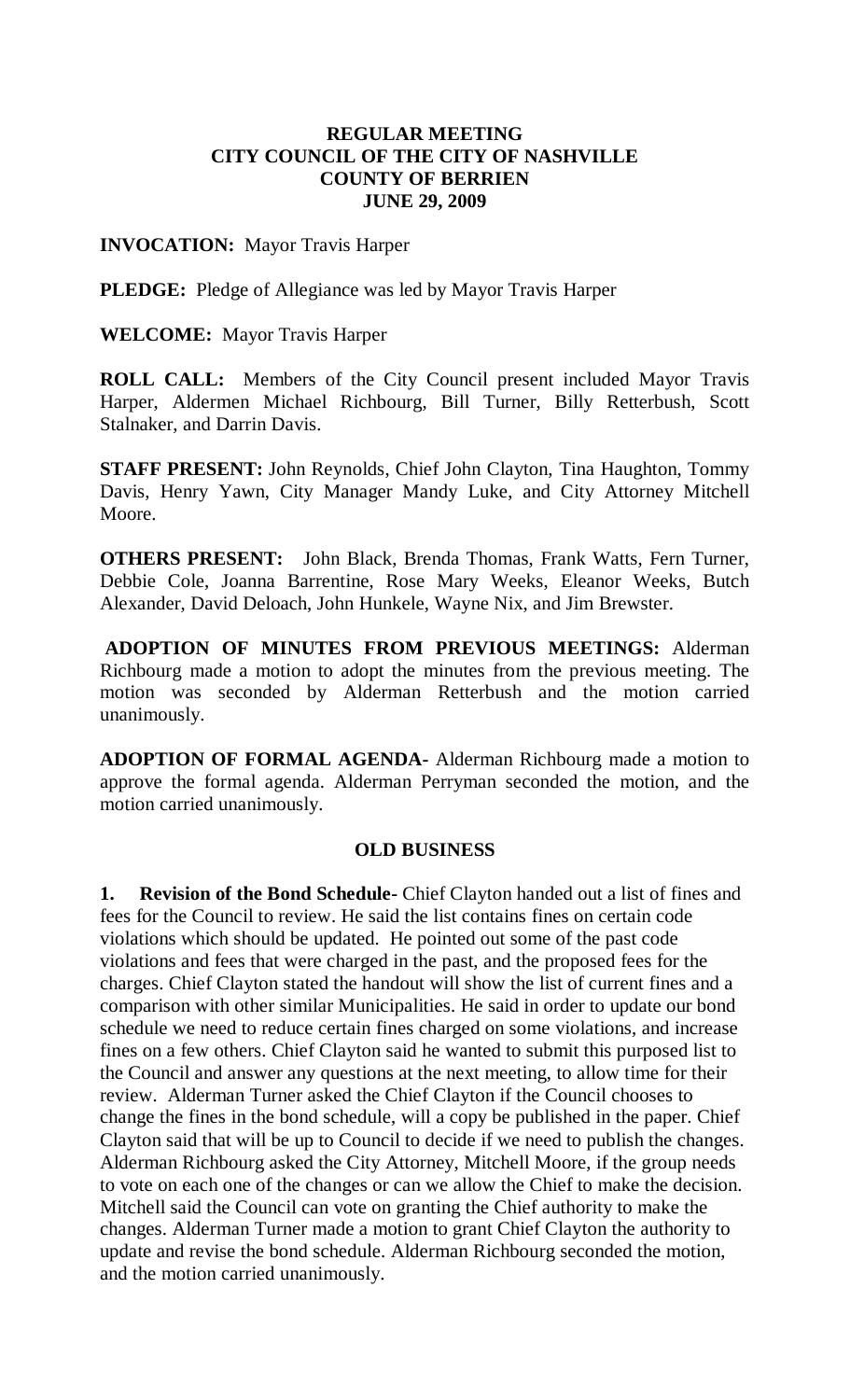# **REGULAR MEETING CITY COUNCIL OF THE CITY OF NASHVILLE COUNTY OF BERRIEN JUNE 29, 2009**

### **INVOCATION:** Mayor Travis Harper

**PLEDGE:** Pledge of Allegiance was led by Mayor Travis Harper

**WELCOME:** Mayor Travis Harper

**ROLL CALL:** Members of the City Council present included Mayor Travis Harper, Aldermen Michael Richbourg, Bill Turner, Billy Retterbush, Scott Stalnaker, and Darrin Davis.

**STAFF PRESENT:** John Reynolds, Chief John Clayton, Tina Haughton, Tommy Davis, Henry Yawn, City Manager Mandy Luke, and City Attorney Mitchell Moore.

**OTHERS PRESENT:** John Black, Brenda Thomas, Frank Watts, Fern Turner, Debbie Cole, Joanna Barrentine, Rose Mary Weeks, Eleanor Weeks, Butch Alexander, David Deloach, John Hunkele, Wayne Nix, and Jim Brewster.

**ADOPTION OF MINUTES FROM PREVIOUS MEETINGS:** Alderman Richbourg made a motion to adopt the minutes from the previous meeting. The motion was seconded by Alderman Retterbush and the motion carried unanimously.

**ADOPTION OF FORMAL AGENDA-** Alderman Richbourg made a motion to approve the formal agenda. Alderman Perryman seconded the motion, and the motion carried unanimously.

# **OLD BUSINESS**

**1. Revision of the Bond Schedule-** Chief Clayton handed out a list of fines and fees for the Council to review. He said the list contains fines on certain code violations which should be updated. He pointed out some of the past code violations and fees that were charged in the past, and the proposed fees for the charges. Chief Clayton stated the handout will show the list of current fines and a comparison with other similar Municipalities. He said in order to update our bond schedule we need to reduce certain fines charged on some violations, and increase fines on a few others. Chief Clayton said he wanted to submit this purposed list to the Council and answer any questions at the next meeting, to allow time for their review. Alderman Turner asked the Chief Clayton if the Council chooses to change the fines in the bond schedule, will a copy be published in the paper. Chief Clayton said that will be up to Council to decide if we need to publish the changes. Alderman Richbourg asked the City Attorney, Mitchell Moore, if the group needs to vote on each one of the changes or can we allow the Chief to make the decision. Mitchell said the Council can vote on granting the Chief authority to make the changes. Alderman Turner made a motion to grant Chief Clayton the authority to update and revise the bond schedule. Alderman Richbourg seconded the motion, and the motion carried unanimously.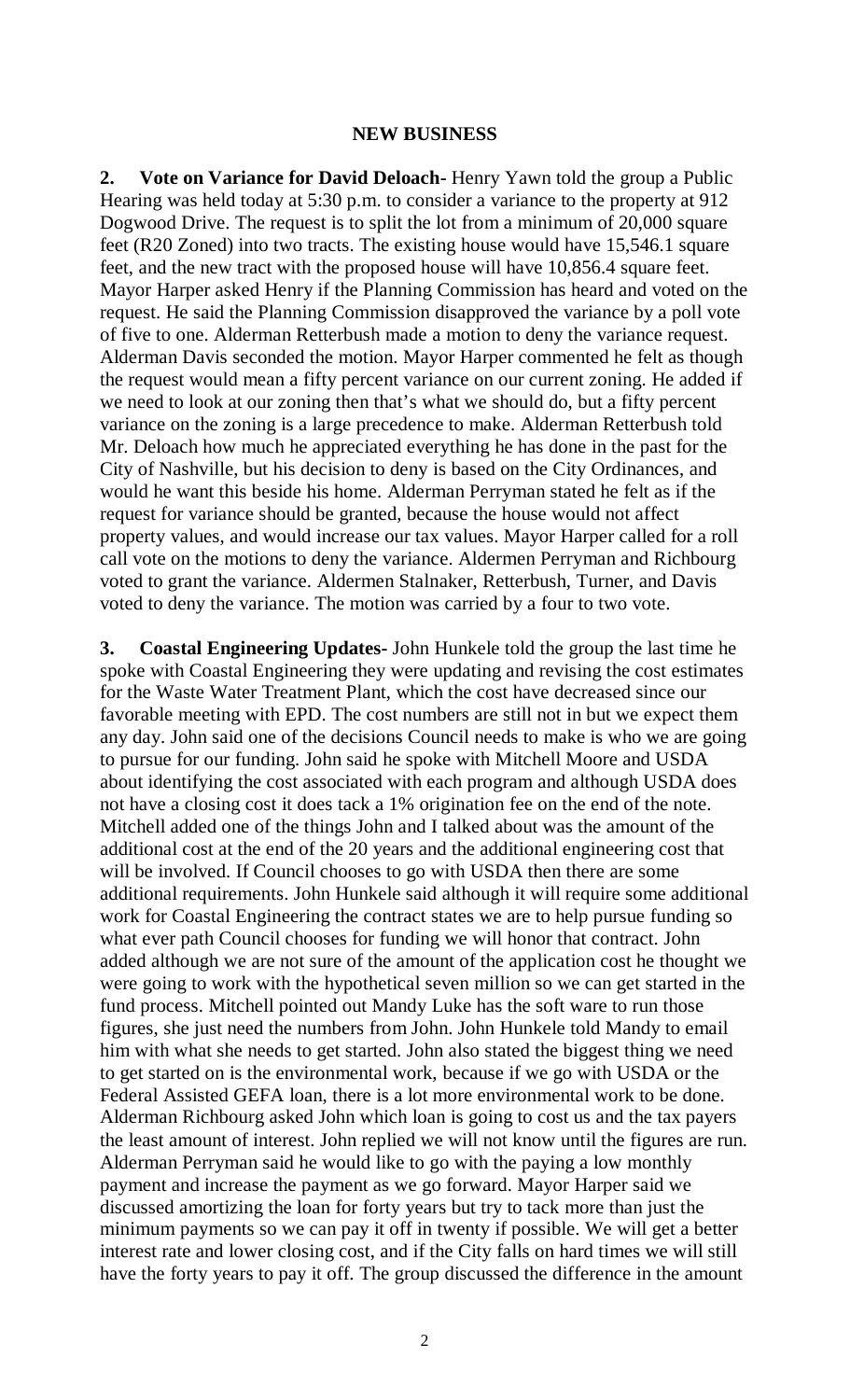#### **NEW BUSINESS**

**2. Vote on Variance for David Deloach-** Henry Yawn told the group a Public Hearing was held today at 5:30 p.m. to consider a variance to the property at 912 Dogwood Drive. The request is to split the lot from a minimum of 20,000 square feet (R20 Zoned) into two tracts. The existing house would have 15,546.1 square feet, and the new tract with the proposed house will have 10,856.4 square feet. Mayor Harper asked Henry if the Planning Commission has heard and voted on the request. He said the Planning Commission disapproved the variance by a poll vote of five to one. Alderman Retterbush made a motion to deny the variance request. Alderman Davis seconded the motion. Mayor Harper commented he felt as though the request would mean a fifty percent variance on our current zoning. He added if we need to look at our zoning then that's what we should do, but a fifty percent variance on the zoning is a large precedence to make. Alderman Retterbush told Mr. Deloach how much he appreciated everything he has done in the past for the City of Nashville, but his decision to deny is based on the City Ordinances, and would he want this beside his home. Alderman Perryman stated he felt as if the request for variance should be granted, because the house would not affect property values, and would increase our tax values. Mayor Harper called for a roll call vote on the motions to deny the variance. Aldermen Perryman and Richbourg voted to grant the variance. Aldermen Stalnaker, Retterbush, Turner, and Davis voted to deny the variance. The motion was carried by a four to two vote.

**3. Coastal Engineering Updates-** John Hunkele told the group the last time he spoke with Coastal Engineering they were updating and revising the cost estimates for the Waste Water Treatment Plant, which the cost have decreased since our favorable meeting with EPD. The cost numbers are still not in but we expect them any day. John said one of the decisions Council needs to make is who we are going to pursue for our funding. John said he spoke with Mitchell Moore and USDA about identifying the cost associated with each program and although USDA does not have a closing cost it does tack a 1% origination fee on the end of the note. Mitchell added one of the things John and I talked about was the amount of the additional cost at the end of the 20 years and the additional engineering cost that will be involved. If Council chooses to go with USDA then there are some additional requirements. John Hunkele said although it will require some additional work for Coastal Engineering the contract states we are to help pursue funding so what ever path Council chooses for funding we will honor that contract. John added although we are not sure of the amount of the application cost he thought we were going to work with the hypothetical seven million so we can get started in the fund process. Mitchell pointed out Mandy Luke has the soft ware to run those figures, she just need the numbers from John. John Hunkele told Mandy to email him with what she needs to get started. John also stated the biggest thing we need to get started on is the environmental work, because if we go with USDA or the Federal Assisted GEFA loan, there is a lot more environmental work to be done. Alderman Richbourg asked John which loan is going to cost us and the tax payers the least amount of interest. John replied we will not know until the figures are run. Alderman Perryman said he would like to go with the paying a low monthly payment and increase the payment as we go forward. Mayor Harper said we discussed amortizing the loan for forty years but try to tack more than just the minimum payments so we can pay it off in twenty if possible. We will get a better interest rate and lower closing cost, and if the City falls on hard times we will still have the forty years to pay it off. The group discussed the difference in the amount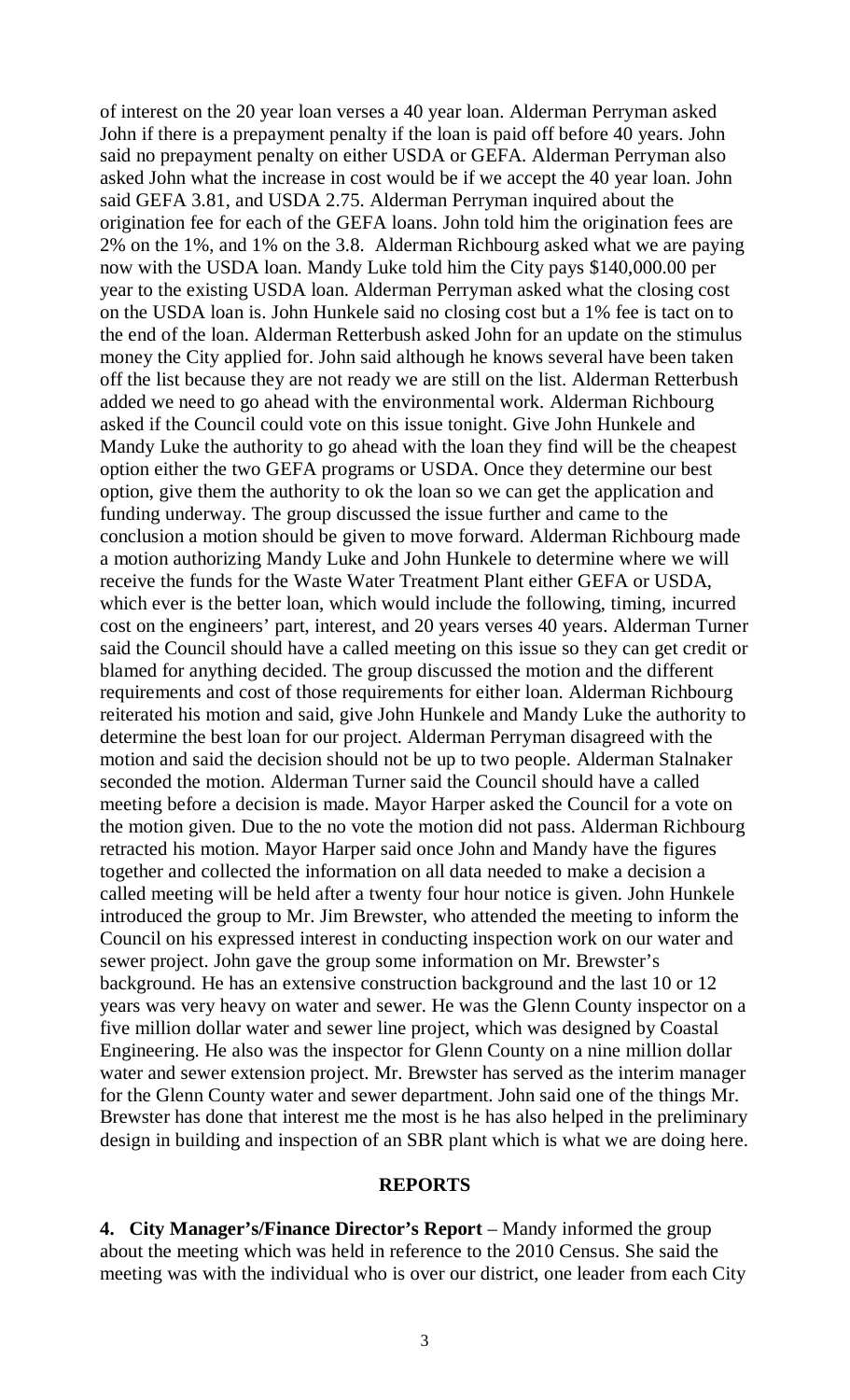of interest on the 20 year loan verses a 40 year loan. Alderman Perryman asked John if there is a prepayment penalty if the loan is paid off before 40 years. John said no prepayment penalty on either USDA or GEFA. Alderman Perryman also asked John what the increase in cost would be if we accept the 40 year loan. John said GEFA 3.81, and USDA 2.75. Alderman Perryman inquired about the origination fee for each of the GEFA loans. John told him the origination fees are 2% on the 1%, and 1% on the 3.8. Alderman Richbourg asked what we are paying now with the USDA loan. Mandy Luke told him the City pays \$140,000.00 per year to the existing USDA loan. Alderman Perryman asked what the closing cost on the USDA loan is. John Hunkele said no closing cost but a 1% fee is tact on to the end of the loan. Alderman Retterbush asked John for an update on the stimulus money the City applied for. John said although he knows several have been taken off the list because they are not ready we are still on the list. Alderman Retterbush added we need to go ahead with the environmental work. Alderman Richbourg asked if the Council could vote on this issue tonight. Give John Hunkele and Mandy Luke the authority to go ahead with the loan they find will be the cheapest option either the two GEFA programs or USDA. Once they determine our best option, give them the authority to ok the loan so we can get the application and funding underway. The group discussed the issue further and came to the conclusion a motion should be given to move forward. Alderman Richbourg made a motion authorizing Mandy Luke and John Hunkele to determine where we will receive the funds for the Waste Water Treatment Plant either GEFA or USDA, which ever is the better loan, which would include the following, timing, incurred cost on the engineers' part, interest, and 20 years verses 40 years. Alderman Turner said the Council should have a called meeting on this issue so they can get credit or blamed for anything decided. The group discussed the motion and the different requirements and cost of those requirements for either loan. Alderman Richbourg reiterated his motion and said, give John Hunkele and Mandy Luke the authority to determine the best loan for our project. Alderman Perryman disagreed with the motion and said the decision should not be up to two people. Alderman Stalnaker seconded the motion. Alderman Turner said the Council should have a called meeting before a decision is made. Mayor Harper asked the Council for a vote on the motion given. Due to the no vote the motion did not pass. Alderman Richbourg retracted his motion. Mayor Harper said once John and Mandy have the figures together and collected the information on all data needed to make a decision a called meeting will be held after a twenty four hour notice is given. John Hunkele introduced the group to Mr. Jim Brewster, who attended the meeting to inform the Council on his expressed interest in conducting inspection work on our water and sewer project. John gave the group some information on Mr. Brewster's background. He has an extensive construction background and the last 10 or 12 years was very heavy on water and sewer. He was the Glenn County inspector on a five million dollar water and sewer line project, which was designed by Coastal Engineering. He also was the inspector for Glenn County on a nine million dollar water and sewer extension project. Mr. Brewster has served as the interim manager for the Glenn County water and sewer department. John said one of the things Mr. Brewster has done that interest me the most is he has also helped in the preliminary design in building and inspection of an SBR plant which is what we are doing here.

#### **REPORTS**

**4. City Manager's/Finance Director's Report** – Mandy informed the group about the meeting which was held in reference to the 2010 Census. She said the meeting was with the individual who is over our district, one leader from each City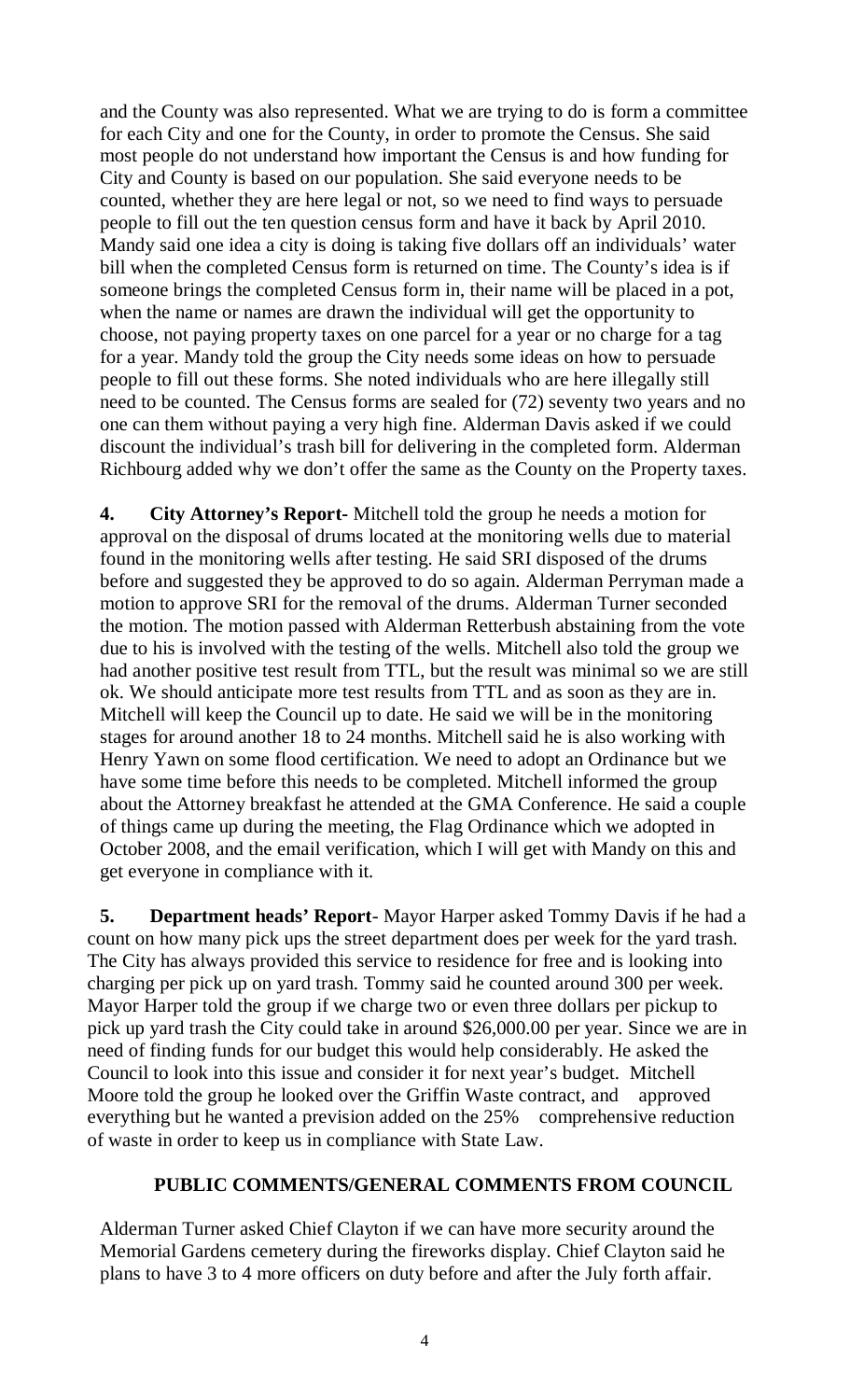and the County was also represented. What we are trying to do is form a committee for each City and one for the County, in order to promote the Census. She said most people do not understand how important the Census is and how funding for City and County is based on our population. She said everyone needs to be counted, whether they are here legal or not, so we need to find ways to persuade people to fill out the ten question census form and have it back by April 2010. Mandy said one idea a city is doing is taking five dollars off an individuals' water bill when the completed Census form is returned on time. The County's idea is if someone brings the completed Census form in, their name will be placed in a pot, when the name or names are drawn the individual will get the opportunity to choose, not paying property taxes on one parcel for a year or no charge for a tag for a year. Mandy told the group the City needs some ideas on how to persuade people to fill out these forms. She noted individuals who are here illegally still need to be counted. The Census forms are sealed for (72) seventy two years and no one can them without paying a very high fine. Alderman Davis asked if we could discount the individual's trash bill for delivering in the completed form. Alderman Richbourg added why we don't offer the same as the County on the Property taxes.

**4. City Attorney's Report-** Mitchell told the group he needs a motion for approval on the disposal of drums located at the monitoring wells due to material found in the monitoring wells after testing. He said SRI disposed of the drums before and suggested they be approved to do so again. Alderman Perryman made a motion to approve SRI for the removal of the drums. Alderman Turner seconded the motion. The motion passed with Alderman Retterbush abstaining from the vote due to his is involved with the testing of the wells. Mitchell also told the group we had another positive test result from TTL, but the result was minimal so we are still ok. We should anticipate more test results from TTL and as soon as they are in. Mitchell will keep the Council up to date. He said we will be in the monitoring stages for around another 18 to 24 months. Mitchell said he is also working with Henry Yawn on some flood certification. We need to adopt an Ordinance but we have some time before this needs to be completed. Mitchell informed the group about the Attorney breakfast he attended at the GMA Conference. He said a couple of things came up during the meeting, the Flag Ordinance which we adopted in October 2008, and the email verification, which I will get with Mandy on this and get everyone in compliance with it.

**5. Department heads' Report**- Mayor Harper asked Tommy Davis if he had a count on how many pick ups the street department does per week for the yard trash. The City has always provided this service to residence for free and is looking into charging per pick up on yard trash. Tommy said he counted around 300 per week. Mayor Harper told the group if we charge two or even three dollars per pickup to pick up yard trash the City could take in around \$26,000.00 per year. Since we are in need of finding funds for our budget this would help considerably. He asked the Council to look into this issue and consider it for next year's budget. Mitchell Moore told the group he looked over the Griffin Waste contract, and approved everything but he wanted a prevision added on the 25% comprehensive reduction of waste in order to keep us in compliance with State Law.

# **PUBLIC COMMENTS/GENERAL COMMENTS FROM COUNCIL**

Alderman Turner asked Chief Clayton if we can have more security around the Memorial Gardens cemetery during the fireworks display. Chief Clayton said he plans to have 3 to 4 more officers on duty before and after the July forth affair.